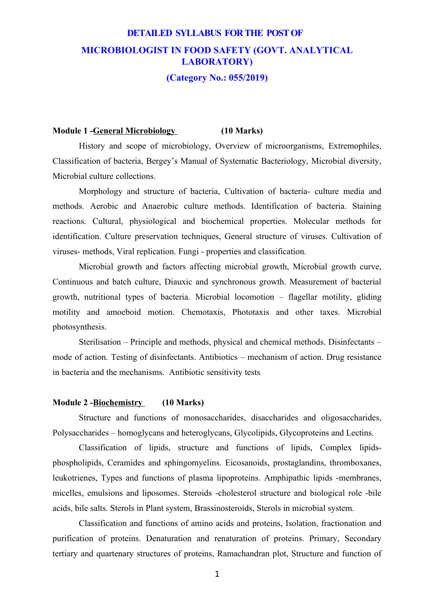# **DETAILED SYLLABUS FOR THE POST OF MICROBIOLOGIST IN FOOD SAFETY (GOVT. ANALYTICAL LABORATORY)**

### **(Category No.: 055/2019)**

#### **Module 1 -General Microbiology (10 Marks)**

History and scope of microbiology, Overview of microorganisms, Extremophiles, Classification of bacteria, Bergey's Manual of Systematic Bacteriology, Microbial diversity, Microbial culture collections.

Morphology and structure of bacteria, Cultivation of bacteria- culture media and methods. Aerobic and Anaerobic culture methods. Identification of bacteria. Staining reactions. Cultural, physiological and biochemical properties. Molecular methods for identification. Culture preservation techniques, General structure of viruses. Cultivation of viruses- methods, Viral replication. Fungi - properties and classification.

Microbial growth and factors affecting microbial growth, Microbial growth curve, Continuous and batch culture, Diauxic and synchronous growth. Measurement of bacterial growth, nutritional types of bacteria. Microbial locomotion – flagellar motility, gliding motility and amoeboid motion. Chemotaxis, Phototaxis and other taxes. Microbial photosynthesis.

Sterilisation – Principle and methods, physical and chemical methods. Disinfectants – mode of action. Testing of disinfectants. Antibiotics – mechanism of action. Drug resistance in bacteria and the mechanisms. Antibiotic sensitivity tests

#### **Module 2 - Biochemistry (10 Marks)**

Structure and functions of monosaccharides, disaccharides and oligosaccharides, Polysaccharides – homoglycans and heteroglycans, Glycolipids, Glycoproteins and Lectins.

Classification of lipids, structure and functions of lipids, Complex lipidsphospholipids, Ceramides and sphingomyelins. Eicosanoids, prostaglandins, thromboxanes, leukotrienes, Types and functions of plasma lipoproteins. Amphipathic lipids -membranes, micelles, emulsions and liposomes. Steroids -cholesterol structure and biological role -bile acids, bile salts. Sterols in Plant system, Brassinosteroids, Sterols in microbial system.

Classification and functions of amino acids and proteins, Isolation, fractionation and purification of proteins. Denaturation and renaturation of proteins. Primary, Secondary tertiary and quartenary structures of proteins, Ramachandran plot, Structure and function of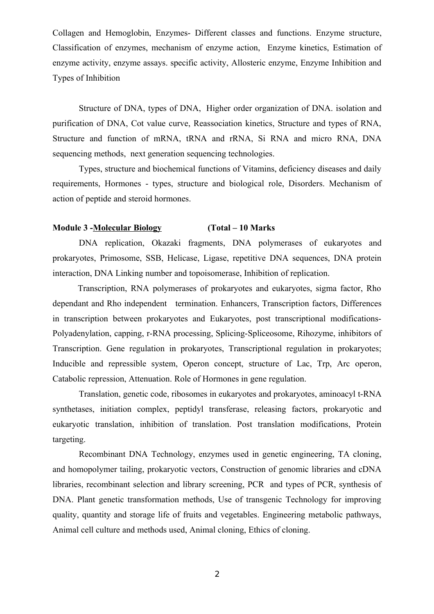Collagen and Hemoglobin, Enzymes- Different classes and functions. Enzyme structure, Classification of enzymes, mechanism of enzyme action, Enzyme kinetics, Estimation of enzyme activity, enzyme assays. specific activity, Allosteric enzyme, Enzyme Inhibition and Types of Inhibition

Structure of DNA, types of DNA, Higher order organization of DNA. isolation and purification of DNA, Cot value curve, Reassociation kinetics, Structure and types of RNA, Structure and function of mRNA, tRNA and rRNA, Si RNA and micro RNA, DNA sequencing methods, next generation sequencing technologies.

Types, structure and biochemical functions of Vitamins, deficiency diseases and daily requirements, Hormones - types, structure and biological role, Disorders. Mechanism of action of peptide and steroid hormones.

### **Module 3 -Molecular Biology (Total – 10 Marks**

DNA replication, Okazaki fragments, DNA polymerases of eukaryotes and prokaryotes, Primosome, SSB, Helicase, Ligase, repetitive DNA sequences, DNA protein interaction, DNA Linking number and topoisomerase, Inhibition of replication.

 Transcription, RNA polymerases of prokaryotes and eukaryotes, sigma factor, Rho dependant and Rho independent termination. Enhancers, Transcription factors, Differences in transcription between prokaryotes and Eukaryotes, post transcriptional modifications-Polyadenylation, capping, r-RNA processing, Splicing-Spliceosome, Rihozyme, inhibitors of Transcription. Gene regulation in prokaryotes, Transcriptional regulation in prokaryotes; Inducible and repressible system, Operon concept, structure of Lac, Trp, Arc operon, Catabolic repression, Attenuation. Role of Hormones in gene regulation.

Translation, genetic code, ribosomes in eukaryotes and prokaryotes, aminoacyl t-RNA synthetases, initiation complex, peptidyl transferase, releasing factors, prokaryotic and eukaryotic translation, inhibition of translation. Post translation modifications, Protein targeting.

Recombinant DNA Technology, enzymes used in genetic engineering, TA cloning, and homopolymer tailing, prokaryotic vectors, Construction of genomic libraries and cDNA libraries, recombinant selection and library screening, PCR and types of PCR, synthesis of DNA. Plant genetic transformation methods, Use of transgenic Technology for improving quality, quantity and storage life of fruits and vegetables. Engineering metabolic pathways, Animal cell culture and methods used, Animal cloning, Ethics of cloning.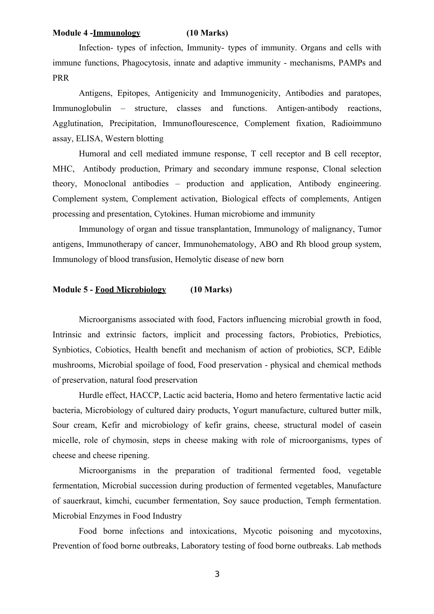### **Module 4 -Immunology (10 Marks)**

Infection- types of infection, Immunity- types of immunity. Organs and cells with immune functions, Phagocytosis, innate and adaptive immunity - mechanisms, PAMPs and PRR

Antigens, Epitopes, Antigenicity and Immunogenicity, Antibodies and paratopes, Immunoglobulin – structure, classes and functions. Antigen-antibody reactions, Agglutination, Precipitation, Immunoflourescence, Complement fixation, Radioimmuno assay, ELISA, Western blotting

Humoral and cell mediated immune response, T cell receptor and B cell receptor, MHC, Antibody production, Primary and secondary immune response, Clonal selection theory, Monoclonal antibodies – production and application, Antibody engineering. Complement system, Complement activation, Biological effects of complements, Antigen processing and presentation, Cytokines. Human microbiome and immunity

Immunology of organ and tissue transplantation, Immunology of malignancy, Tumor antigens, Immunotherapy of cancer, Immunohematology, ABO and Rh blood group system, Immunology of blood transfusion, Hemolytic disease of new born

# **Module 5 - Food Microbiology (10 Marks)**

Microorganisms associated with food, Factors influencing microbial growth in food, Intrinsic and extrinsic factors, implicit and processing factors, Probiotics, Prebiotics, Synbiotics, Cobiotics, Health benefit and mechanism of action of probiotics, SCP, Edible mushrooms, Microbial spoilage of food, Food preservation - physical and chemical methods of preservation, natural food preservation

Hurdle effect, HACCP, Lactic acid bacteria, Homo and hetero fermentative lactic acid bacteria, Microbiology of cultured dairy products, Yogurt manufacture, cultured butter milk, Sour cream, Kefir and microbiology of kefir grains, cheese, structural model of casein micelle, role of chymosin, steps in cheese making with role of microorganisms, types of cheese and cheese ripening.

Microorganisms in the preparation of traditional fermented food, vegetable fermentation, Microbial succession during production of fermented vegetables, Manufacture of sauerkraut, kimchi, cucumber fermentation, Soy sauce production, Temph fermentation. Microbial Enzymes in Food Industry

Food borne infections and intoxications, Mycotic poisoning and mycotoxins, Prevention of food borne outbreaks, Laboratory testing of food borne outbreaks. Lab methods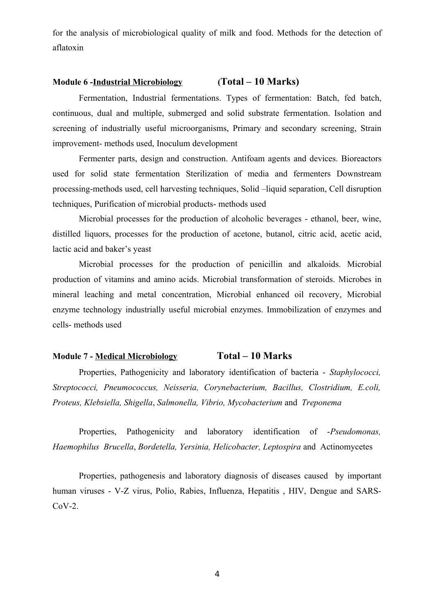for the analysis of microbiological quality of milk and food. Methods for the detection of aflatoxin

# **Module 6 -Industrial Microbiology (Total – 10 Marks)**

Fermentation, Industrial fermentations. Types of fermentation: Batch, fed batch, continuous, dual and multiple, submerged and solid substrate fermentation. Isolation and screening of industrially useful microorganisms, Primary and secondary screening, Strain improvement- methods used, Inoculum development

Fermenter parts, design and construction. Antifoam agents and devices. Bioreactors used for solid state fermentation Sterilization of media and fermenters Downstream processing-methods used, cell harvesting techniques, Solid –liquid separation, Cell disruption techniques, Purification of microbial products- methods used

Microbial processes for the production of alcoholic beverages - ethanol, beer, wine, distilled liquors, processes for the production of acetone, butanol, citric acid, acetic acid, lactic acid and baker's yeast

Microbial processes for the production of penicillin and alkaloids. Microbial production of vitamins and amino acids. Microbial transformation of steroids. Microbes in mineral leaching and metal concentration, Microbial enhanced oil recovery, Microbial enzyme technology industrially useful microbial enzymes. Immobilization of enzymes and cells- methods used

## **Module 7 - Medical Microbiology Total – 10 Marks**

Properties, Pathogenicity and laboratory identification of bacteria - *Staphylococci, Streptococci, Pneumococcus, Neisseria, Corynebacterium, Bacillus, Clostridium, E.coli, Proteus, Klebsiella, Shigella*, *Salmonella, Vibrio, Mycobacterium* and *Treponema*

Properties, Pathogenicity and laboratory identification of -*Pseudomonas, Haemophilus Brucella*, *Bordetella, Yersinia, Helicobacter, Leptospira* and Actinomycetes

Properties, pathogenesis and laboratory diagnosis of diseases caused by important human viruses - V-Z virus, Polio, Rabies, Influenza, Hepatitis , HIV, Dengue and SARS-CoV-2.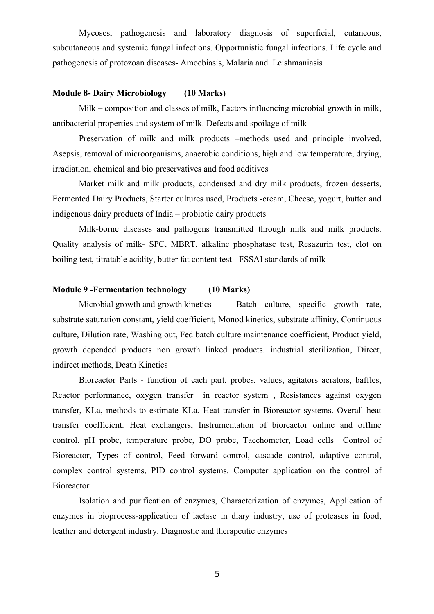Mycoses, pathogenesis and laboratory diagnosis of superficial, cutaneous, subcutaneous and systemic fungal infections. Opportunistic fungal infections. Life cycle and pathogenesis of protozoan diseases- Amoebiasis, Malaria and Leishmaniasis

# **Module 8- Dairy Microbiology (10 Marks)**

Milk – composition and classes of milk, Factors influencing microbial growth in milk, antibacterial properties and system of milk. Defects and spoilage of milk

Preservation of milk and milk products –methods used and principle involved, Asepsis, removal of microorganisms, anaerobic conditions, high and low temperature, drying, irradiation, chemical and bio preservatives and food additives

Market milk and milk products, condensed and dry milk products, frozen desserts, Fermented Dairy Products, Starter cultures used, Products -cream, Cheese, yogurt, butter and indigenous dairy products of India – probiotic dairy products

Milk-borne diseases and pathogens transmitted through milk and milk products. Quality analysis of milk- SPC, MBRT, alkaline phosphatase test, Resazurin test, clot on boiling test, titratable acidity, butter fat content test - FSSAI standards of milk

# **Module 9 -Fermentation technology (10 Marks)**

Microbial growth and growth kinetics- Batch culture, specific growth rate, substrate saturation constant, yield coefficient, Monod kinetics, substrate affinity, Continuous culture, Dilution rate, Washing out, Fed batch culture maintenance coefficient, Product yield, growth depended products non growth linked products. industrial sterilization, Direct, indirect methods, Death Kinetics

Bioreactor Parts - function of each part, probes, values, agitators aerators, baffles, Reactor performance, oxygen transfer in reactor system , Resistances against oxygen transfer, KLa, methods to estimate KLa. Heat transfer in Bioreactor systems. Overall heat transfer coefficient. Heat exchangers, Instrumentation of bioreactor online and offline control. pH probe, temperature probe, DO probe, Tacchometer, Load cells Control of Bioreactor, Types of control, Feed forward control, cascade control, adaptive control, complex control systems, PID control systems. Computer application on the control of Bioreactor

Isolation and purification of enzymes, Characterization of enzymes, Application of enzymes in bioprocess-application of lactase in diary industry, use of proteases in food, leather and detergent industry. Diagnostic and therapeutic enzymes